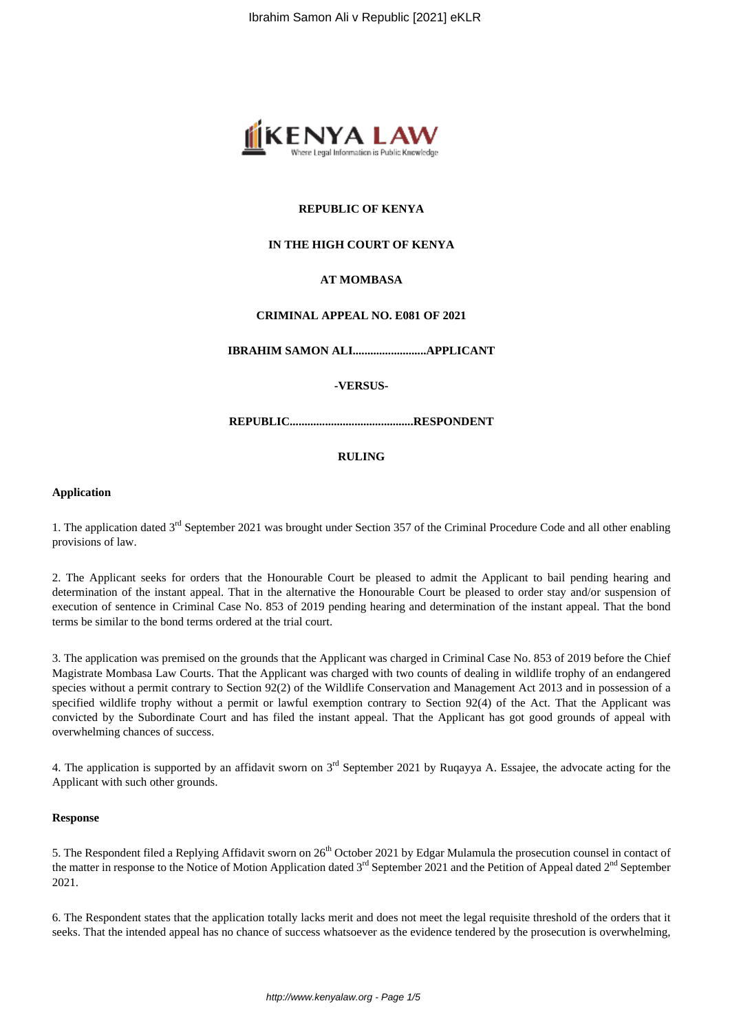

# **REPUBLIC OF KENYA**

# **IN THE HIGH COURT OF KENYA**

# **AT MOMBASA**

#### **CRIMINAL APPEAL NO. E081 OF 2021**

**IBRAHIM SAMON ALI.........................APPLICANT**

#### **-VERSUS-**

**REPUBLIC..........................................RESPONDENT**

### **RULING**

#### **Application**

1. The application dated 3<sup>rd</sup> September 2021 was brought under Section 357 of the Criminal Procedure Code and all other enabling provisions of law.

2. The Applicant seeks for orders that the Honourable Court be pleased to admit the Applicant to bail pending hearing and determination of the instant appeal. That in the alternative the Honourable Court be pleased to order stay and/or suspension of execution of sentence in Criminal Case No. 853 of 2019 pending hearing and determination of the instant appeal. That the bond terms be similar to the bond terms ordered at the trial court.

3. The application was premised on the grounds that the Applicant was charged in Criminal Case No. 853 of 2019 before the Chief Magistrate Mombasa Law Courts. That the Applicant was charged with two counts of dealing in wildlife trophy of an endangered species without a permit contrary to Section 92(2) of the Wildlife Conservation and Management Act 2013 and in possession of a specified wildlife trophy without a permit or lawful exemption contrary to Section 92(4) of the Act. That the Applicant was convicted by the Subordinate Court and has filed the instant appeal. That the Applicant has got good grounds of appeal with overwhelming chances of success.

4. The application is supported by an affidavit sworn on 3<sup>rd</sup> September 2021 by Ruqayya A. Essajee, the advocate acting for the Applicant with such other grounds.

#### **Response**

5. The Respondent filed a Replying Affidavit sworn on  $26<sup>th</sup>$  October 2021 by Edgar Mulamula the prosecution counsel in contact of the matter in response to the Notice of Motion Application dated  $3<sup>rd</sup>$  September 2021 and the Petition of Appeal dated  $2<sup>nd</sup>$  September 2021.

6. The Respondent states that the application totally lacks merit and does not meet the legal requisite threshold of the orders that it seeks. That the intended appeal has no chance of success whatsoever as the evidence tendered by the prosecution is overwhelming,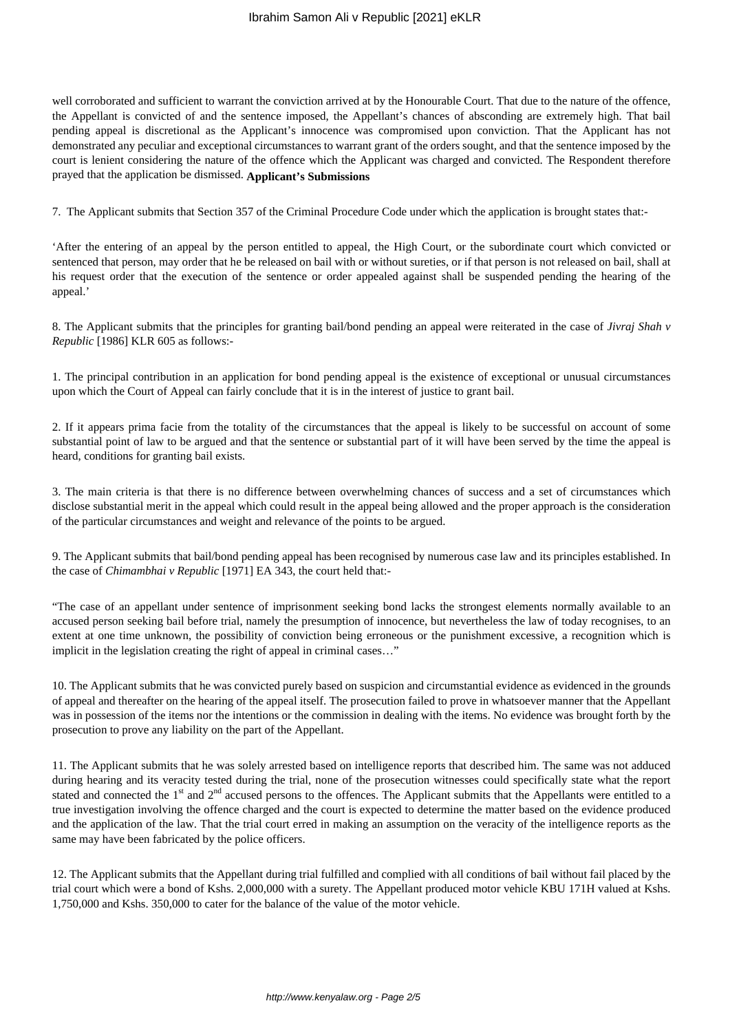well corroborated and sufficient to warrant the conviction arrived at by the Honourable Court. That due to the nature of the offence, the Appellant is convicted of and the sentence imposed, the Appellant's chances of absconding are extremely high. That bail pending appeal is discretional as the Applicant's innocence was compromised upon conviction. That the Applicant has not demonstrated any peculiar and exceptional circumstances to warrant grant of the orders sought, and that the sentence imposed by the court is lenient considering the nature of the offence which the Applicant was charged and convicted. The Respondent therefore prayed that the application be dismissed. **Applicant's Submissions**

7. The Applicant submits that Section 357 of the Criminal Procedure Code under which the application is brought states that:-

'After the entering of an appeal by the person entitled to appeal, the High Court, or the subordinate court which convicted or sentenced that person, may order that he be released on bail with or without sureties, or if that person is not released on bail, shall at his request order that the execution of the sentence or order appealed against shall be suspended pending the hearing of the appeal.'

8. The Applicant submits that the principles for granting bail/bond pending an appeal were reiterated in the case of *Jivraj Shah v Republic* [1986] KLR 605 as follows:-

1. The principal contribution in an application for bond pending appeal is the existence of exceptional or unusual circumstances upon which the Court of Appeal can fairly conclude that it is in the interest of justice to grant bail.

2. If it appears prima facie from the totality of the circumstances that the appeal is likely to be successful on account of some substantial point of law to be argued and that the sentence or substantial part of it will have been served by the time the appeal is heard, conditions for granting bail exists.

3. The main criteria is that there is no difference between overwhelming chances of success and a set of circumstances which disclose substantial merit in the appeal which could result in the appeal being allowed and the proper approach is the consideration of the particular circumstances and weight and relevance of the points to be argued.

9. The Applicant submits that bail/bond pending appeal has been recognised by numerous case law and its principles established. In the case of *Chimambhai v Republic* [1971] EA 343, the court held that:-

"The case of an appellant under sentence of imprisonment seeking bond lacks the strongest elements normally available to an accused person seeking bail before trial, namely the presumption of innocence, but nevertheless the law of today recognises, to an extent at one time unknown, the possibility of conviction being erroneous or the punishment excessive, a recognition which is implicit in the legislation creating the right of appeal in criminal cases…"

10. The Applicant submits that he was convicted purely based on suspicion and circumstantial evidence as evidenced in the grounds of appeal and thereafter on the hearing of the appeal itself. The prosecution failed to prove in whatsoever manner that the Appellant was in possession of the items nor the intentions or the commission in dealing with the items. No evidence was brought forth by the prosecution to prove any liability on the part of the Appellant.

11. The Applicant submits that he was solely arrested based on intelligence reports that described him. The same was not adduced during hearing and its veracity tested during the trial, none of the prosecution witnesses could specifically state what the report stated and connected the 1<sup>st</sup> and 2<sup>nd</sup> accused persons to the offences. The Applicant submits that the Appellants were entitled to a true investigation involving the offence charged and the court is expected to determine the matter based on the evidence produced and the application of the law. That the trial court erred in making an assumption on the veracity of the intelligence reports as the same may have been fabricated by the police officers.

12. The Applicant submits that the Appellant during trial fulfilled and complied with all conditions of bail without fail placed by the trial court which were a bond of Kshs. 2,000,000 with a surety. The Appellant produced motor vehicle KBU 171H valued at Kshs. 1,750,000 and Kshs. 350,000 to cater for the balance of the value of the motor vehicle.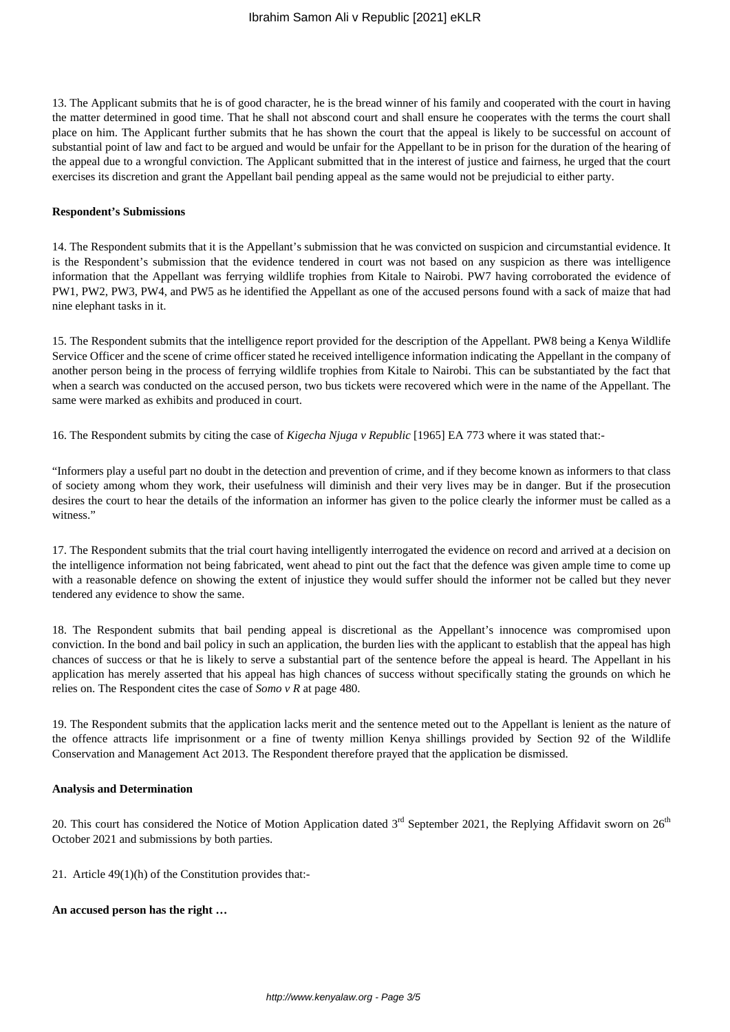13. The Applicant submits that he is of good character, he is the bread winner of his family and cooperated with the court in having the matter determined in good time. That he shall not abscond court and shall ensure he cooperates with the terms the court shall place on him. The Applicant further submits that he has shown the court that the appeal is likely to be successful on account of substantial point of law and fact to be argued and would be unfair for the Appellant to be in prison for the duration of the hearing of the appeal due to a wrongful conviction. The Applicant submitted that in the interest of justice and fairness, he urged that the court exercises its discretion and grant the Appellant bail pending appeal as the same would not be prejudicial to either party.

#### **Respondent's Submissions**

14. The Respondent submits that it is the Appellant's submission that he was convicted on suspicion and circumstantial evidence. It is the Respondent's submission that the evidence tendered in court was not based on any suspicion as there was intelligence information that the Appellant was ferrying wildlife trophies from Kitale to Nairobi. PW7 having corroborated the evidence of PW1, PW2, PW3, PW4, and PW5 as he identified the Appellant as one of the accused persons found with a sack of maize that had nine elephant tasks in it.

15. The Respondent submits that the intelligence report provided for the description of the Appellant. PW8 being a Kenya Wildlife Service Officer and the scene of crime officer stated he received intelligence information indicating the Appellant in the company of another person being in the process of ferrying wildlife trophies from Kitale to Nairobi. This can be substantiated by the fact that when a search was conducted on the accused person, two bus tickets were recovered which were in the name of the Appellant. The same were marked as exhibits and produced in court.

16. The Respondent submits by citing the case of *Kigecha Njuga v Republic* [1965] EA 773 where it was stated that:-

"Informers play a useful part no doubt in the detection and prevention of crime, and if they become known as informers to that class of society among whom they work, their usefulness will diminish and their very lives may be in danger. But if the prosecution desires the court to hear the details of the information an informer has given to the police clearly the informer must be called as a witness."

17. The Respondent submits that the trial court having intelligently interrogated the evidence on record and arrived at a decision on the intelligence information not being fabricated, went ahead to pint out the fact that the defence was given ample time to come up with a reasonable defence on showing the extent of injustice they would suffer should the informer not be called but they never tendered any evidence to show the same.

18. The Respondent submits that bail pending appeal is discretional as the Appellant's innocence was compromised upon conviction. In the bond and bail policy in such an application, the burden lies with the applicant to establish that the appeal has high chances of success or that he is likely to serve a substantial part of the sentence before the appeal is heard. The Appellant in his application has merely asserted that his appeal has high chances of success without specifically stating the grounds on which he relies on. The Respondent cites the case of *Somo v R* at page 480.

19. The Respondent submits that the application lacks merit and the sentence meted out to the Appellant is lenient as the nature of the offence attracts life imprisonment or a fine of twenty million Kenya shillings provided by Section 92 of the Wildlife Conservation and Management Act 2013. The Respondent therefore prayed that the application be dismissed.

#### **Analysis and Determination**

20. This court has considered the Notice of Motion Application dated  $3<sup>rd</sup>$  September 2021, the Replying Affidavit sworn on  $26<sup>th</sup>$ October 2021 and submissions by both parties.

21. Article 49(1)(h) of the Constitution provides that:-

#### **An accused person has the right …**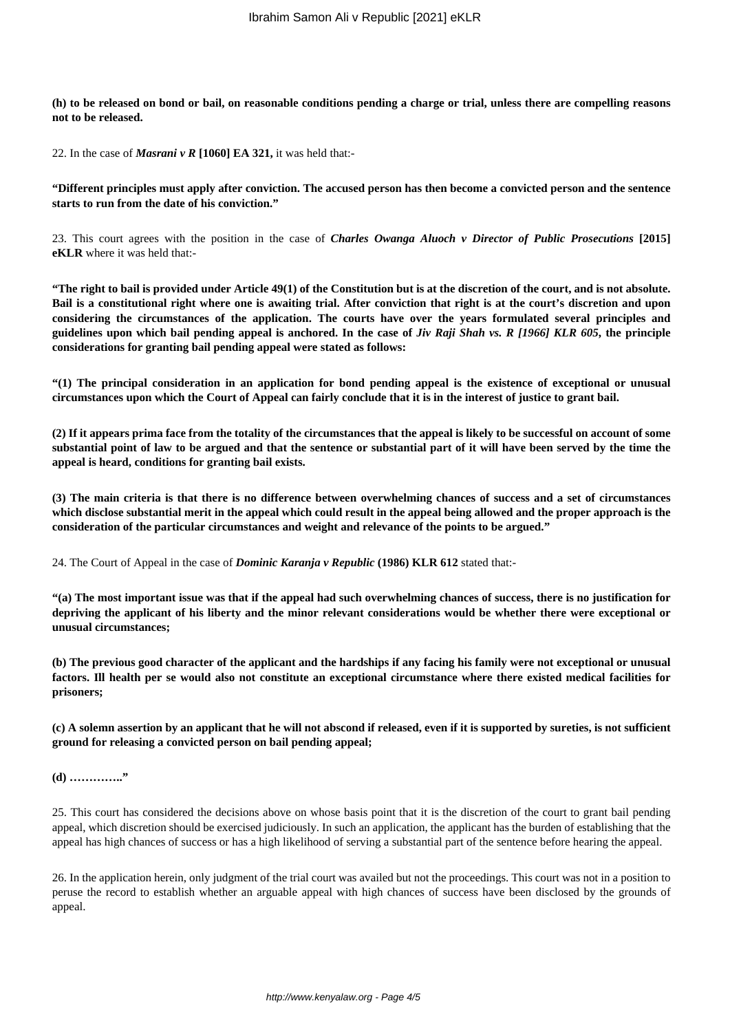**(h) to be released on bond or bail, on reasonable conditions pending a charge or trial, unless there are compelling reasons not to be released.**

22. In the case of *Masrani v R* **[1060] EA 321,** it was held that:-

**"Different principles must apply after conviction. The accused person has then become a convicted person and the sentence starts to run from the date of his conviction."**

23. This court agrees with the position in the case of *Charles Owanga Aluoch v Director of Public Prosecutions* **[2015] eKLR** where it was held that:-

**"The right to bail is provided under Article 49(1) of the Constitution but is at the discretion of the court, and is not absolute. Bail is a constitutional right where one is awaiting trial. After conviction that right is at the court's discretion and upon considering the circumstances of the application. The courts have over the years formulated several principles and guidelines upon which bail pending appeal is anchored. In the case of** *Jiv Raji Shah vs. R [1966] KLR 605***, the principle considerations for granting bail pending appeal were stated as follows:**

**"(1) The principal consideration in an application for bond pending appeal is the existence of exceptional or unusual circumstances upon which the Court of Appeal can fairly conclude that it is in the interest of justice to grant bail.**

**(2) If it appears prima face from the totality of the circumstances that the appeal is likely to be successful on account of some substantial point of law to be argued and that the sentence or substantial part of it will have been served by the time the appeal is heard, conditions for granting bail exists.**

**(3) The main criteria is that there is no difference between overwhelming chances of success and a set of circumstances which disclose substantial merit in the appeal which could result in the appeal being allowed and the proper approach is the consideration of the particular circumstances and weight and relevance of the points to be argued."**

24. The Court of Appeal in the case of *Dominic Karanja v Republic* **(1986) KLR 612** stated that:-

**"(a) The most important issue was that if the appeal had such overwhelming chances of success, there is no justification for depriving the applicant of his liberty and the minor relevant considerations would be whether there were exceptional or unusual circumstances;**

**(b) The previous good character of the applicant and the hardships if any facing his family were not exceptional or unusual factors. Ill health per se would also not constitute an exceptional circumstance where there existed medical facilities for prisoners;**

**(c) A solemn assertion by an applicant that he will not abscond if released, even if it is supported by sureties, is not sufficient ground for releasing a convicted person on bail pending appeal;**

**(d) ………….."**

25. This court has considered the decisions above on whose basis point that it is the discretion of the court to grant bail pending appeal, which discretion should be exercised judiciously. In such an application, the applicant has the burden of establishing that the appeal has high chances of success or has a high likelihood of serving a substantial part of the sentence before hearing the appeal.

26. In the application herein, only judgment of the trial court was availed but not the proceedings. This court was not in a position to peruse the record to establish whether an arguable appeal with high chances of success have been disclosed by the grounds of appeal.